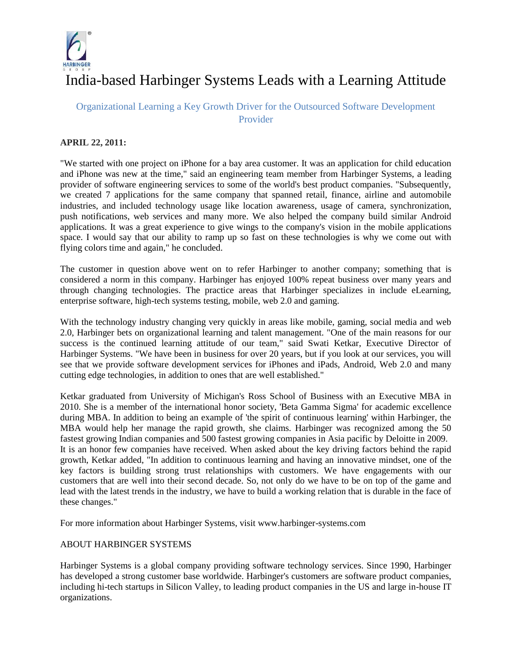

## India-based Harbinger Systems Leads with a Learning Attitude

## Organizational Learning a Key Growth Driver for the Outsourced Software Development Provider

## **APRIL 22, 2011:**

"We started with one project on iPhone for a bay area customer. It was an application for child education and iPhone was new at the time," said an engineering team member from Harbinger Systems, a leading provider of software engineering services to some of the world's best product companies. "Subsequently, we created 7 applications for the same company that spanned retail, finance, airline and automobile industries, and included technology usage like location awareness, usage of camera, synchronization, push notifications, web services and many more. We also helped the company build similar Android applications. It was a great experience to give wings to the company's vision in the mobile applications space. I would say that our ability to ramp up so fast on these technologies is why we come out with flying colors time and again," he concluded.

The customer in question above went on to refer Harbinger to another company; something that is considered a norm in this company. Harbinger has enjoyed 100% repeat business over many years and through changing technologies. The practice areas that Harbinger specializes in include eLearning, enterprise software, high-tech systems testing, mobile, web 2.0 and gaming.

With the technology industry changing very quickly in areas like mobile, gaming, social media and web 2.0, Harbinger bets on organizational learning and talent management. "One of the main reasons for our success is the continued learning attitude of our team," said Swati Ketkar, Executive Director of Harbinger Systems. "We have been in business for over 20 years, but if you look at our services, you will see that we provide software development services for iPhones and iPads, Android, Web 2.0 and many cutting edge technologies, in addition to ones that are well established."

Ketkar graduated from University of Michigan's Ross School of Business with an Executive MBA in 2010. She is a member of the international honor society, 'Beta Gamma Sigma' for academic excellence during MBA. In addition to being an example of 'the spirit of continuous learning' within Harbinger, the MBA would help her manage the rapid growth, she claims. Harbinger was recognized among the 50 fastest growing Indian companies and 500 fastest growing companies in Asia pacific by Deloitte in 2009. It is an honor few companies have received. When asked about the key driving factors behind the rapid growth, Ketkar added, "In addition to continuous learning and having an innovative mindset, one of the key factors is building strong trust relationships with customers. We have engagements with our customers that are well into their second decade. So, not only do we have to be on top of the game and lead with the latest trends in the industry, we have to build a working relation that is durable in the face of these changes."

For more information about Harbinger Systems, visit www.harbinger-systems.com

## ABOUT HARBINGER SYSTEMS

Harbinger Systems is a global company providing software technology services. Since 1990, Harbinger has developed a strong customer base worldwide. Harbinger's customers are software product companies, including hi-tech startups in Silicon Valley, to leading product companies in the US and large in-house IT organizations.